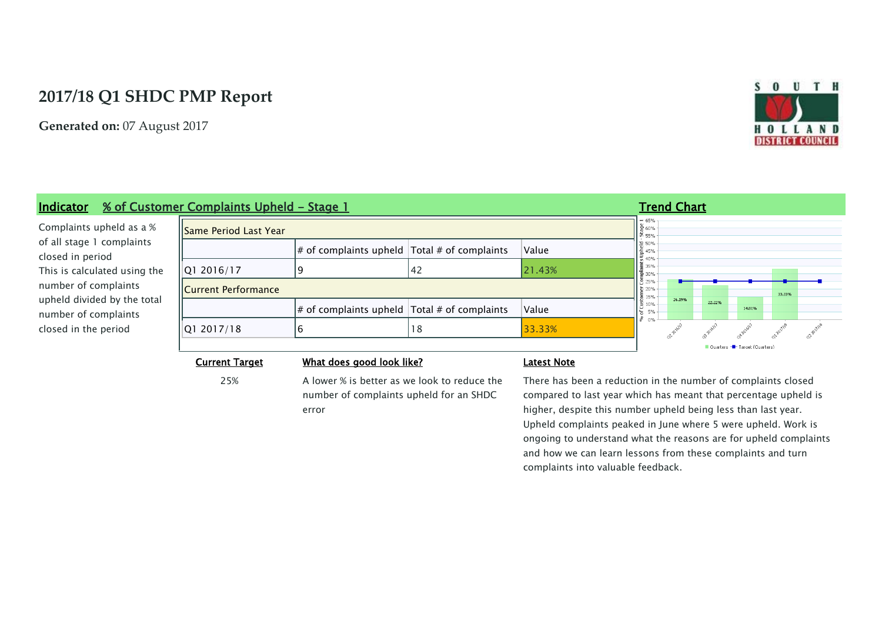# **2017/18 Q1 SHDC PMP Report**

**Generated on:** 07 August 2017



### Indicator % of Customer Complaints Upheld - Stage 1 Trend Chart Chart Chart Chart Chart Chart Chart Chart Chart  $-65%$ Complaints upheld as a % ald - Stage 1 Same Period Last Year of all stage 1 complaints  $\frac{1}{4}$  of complaints upheld Total  $\#$  of complaints Value **Complaints Upheld**<br> **Complaints Upheld**<br>
3 3 3 3 3 25 % closed in period Q1 2016/17 9  $|9 \t|42$  21.43% This is calculated using the number of complaints Current Performance  $\overline{w}$  20% 33.33% 튱 15% upheld divided by the total 26.1996  $\frac{1}{6}$  10%<br> $\frac{1}{5}$ 22.22%  $\#$  of complaints upheld Total # of complaints Value 14.81% number of complaints š  $\bigcap$ OZ-ADING Q1 2017/18 6 18 33.33% closed in the period O2-B16/17 Ouarter Target (Quarters) Current Target What does good look like? Latest Note

25% A lower % is better as we look to reduce the number of complaints upheld for an SHDC error

There has been a reduction in the number of complaints closed compared to last year which has meant that percentage upheld is higher, despite this number upheld being less than last year. Upheld complaints peaked in June where 5 were upheld. Work is ongoing to understand what the reasons are for upheld complaints and how we can learn lessons from these complaints and turn complaints into valuable feedback.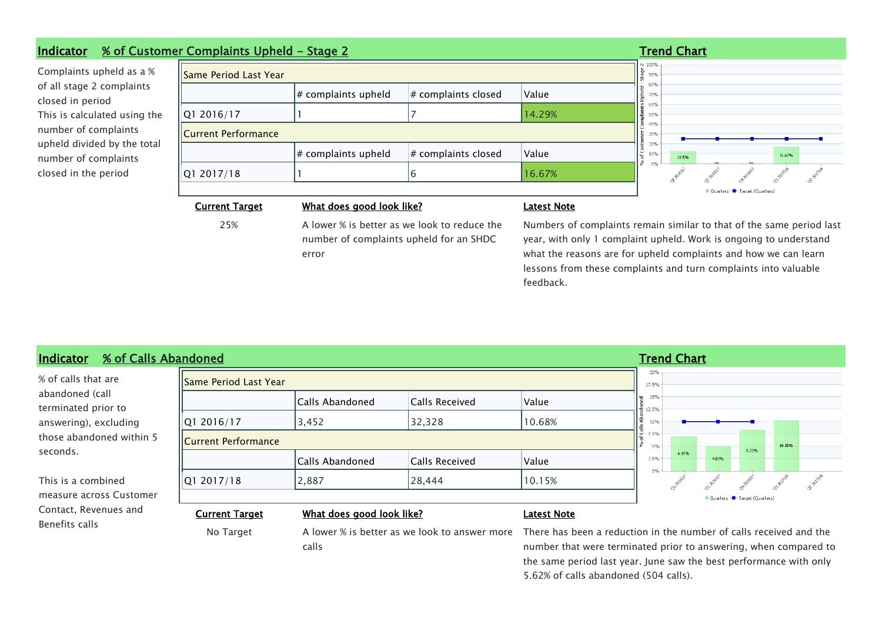| Indicator                                           | <u>% of Customer Complaints Upheld - Stage 2</u> |                           |                                                                  |                    | <b>Trend Chart</b>                        |
|-----------------------------------------------------|--------------------------------------------------|---------------------------|------------------------------------------------------------------|--------------------|-------------------------------------------|
| Complaints upheld as a %                            | <b>Same Period Last Year</b>                     |                           | $\begin{bmatrix} 2 & 100\% \\ \frac{1}{20} & 90\% \end{bmatrix}$ |                    |                                           |
| of all stage 2 complaints<br>closed in period       |                                                  | # complaints upheld       | # complaints closed                                              | Value              | ١÷<br>80%<br>70%<br>۱š                    |
| This is calculated using the                        | Q1 2016/17                                       |                           |                                                                  | 14.29%             | _ಲಿ 60%<br>۱Ē<br>50%                      |
| number of complaints                                | <b>Il Current Performance</b>                    |                           |                                                                  |                    | ခ်ီ <sup>40%</sup><br>30%                 |
| upheld divided by the total<br>number of complaints |                                                  | $\#$ complaints upheld    | # complaints closed                                              | Value              | l Ձ<br>20%<br> Ë<br>16.67%<br>12.5%<br>0% |
| closed in the period                                | Q1 2017/18                                       |                           | b                                                                | 16.67%             |                                           |
|                                                     |                                                  |                           |                                                                  |                    | Quarters - Target (Quarters)              |
|                                                     | <b>Current Target</b>                            | What does good look like? |                                                                  | <b>Latest Note</b> |                                           |

25% A lower % is better as we look to reduce the number of complaints upheld for an SHDC error

Numbers of complaints remain similar to that of the same period last year, with only 1 complaint upheld. Work is ongoing to understand what the reasons are for upheld complaints and how we can learn lessons from these complaints and turn complaints into valuable feedback.

# Indicator % of Calls Abandoned Trend Chart Chart Chart Chart Chart Chart Chart Chart Chart Chart Chart Chart Chart Chart Chart Chart Chart Chart Chart Chart Chart Chart Chart Chart Chart Chart Chart Chart Chart Chart Chart

% of calls that are abandoned (call terminated prior to answering), excluding those abandoned within 5 seconds.

This is a combined measure across Customer Contact, Revenues and Benefits calls

|                            | Calls Abandoned | Calls Received | Value  |
|----------------------------|-----------------|----------------|--------|
| Q1 2016/17                 | 3,452           | 32,328         | 10.68% |
| <b>Current Performance</b> |                 |                |        |
|                            | Calls Abandoned | Calls Received | Value  |
| Q1 2017/18                 | 2,887           | 28,444         | 10.15% |



### Current Target What does good look like? Latest Note

calls

No Target A lower % is better as we look to answer more There has been a reduction in the number of calls received and the number that were terminated prior to answering, when compared to the same period last year. June saw the best performance with only 5.62% of calls abandoned (504 calls).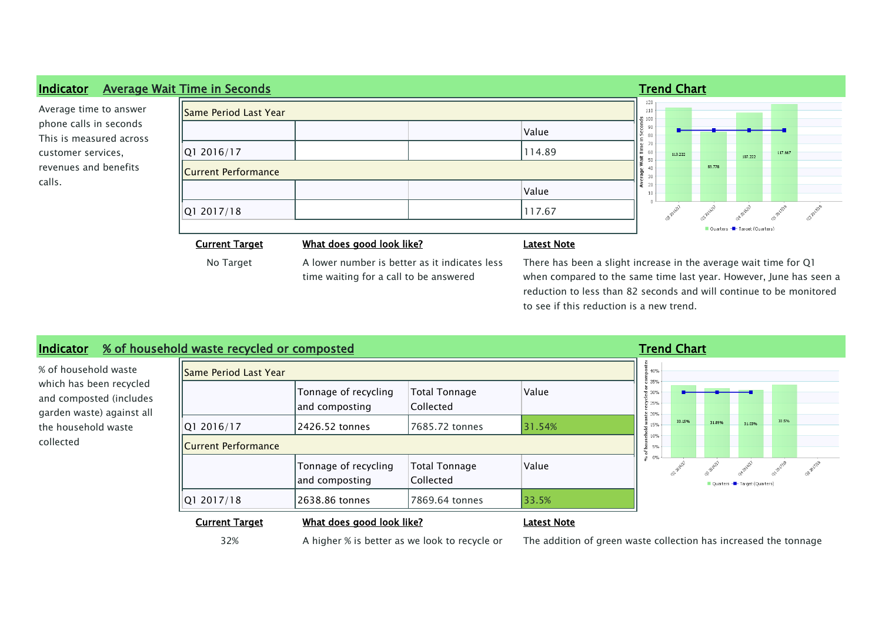| <b>Indicator</b>                                  | <b>Average Wait Time in Seconds</b> |                                                                                         |                    | <b>Trend Chart</b>                                                                                                                     |
|---------------------------------------------------|-------------------------------------|-----------------------------------------------------------------------------------------|--------------------|----------------------------------------------------------------------------------------------------------------------------------------|
| Average time to answer                            | Same Period Last Year               |                                                                                         | 110<br>$-2100$     |                                                                                                                                        |
| phone calls in seconds<br>This is measured across |                                     |                                                                                         | Value              | 90                                                                                                                                     |
| customer services,                                | Q1 2016/17                          |                                                                                         | 114.89             | 60<br>117.667<br>113.222<br>107.222<br>50                                                                                              |
| revenues and benefits                             | <b>IlCurrent Performance</b>        |                                                                                         | 83.778<br>40       |                                                                                                                                        |
| calls.                                            |                                     |                                                                                         | Value              | 20<br>10                                                                                                                               |
|                                                   | Q1 2017/18                          |                                                                                         | 117.67             |                                                                                                                                        |
|                                                   |                                     |                                                                                         |                    | Ouarters - Target (Ouarters)                                                                                                           |
|                                                   | <b>Current Target</b>               | What does good look like?                                                               | <b>Latest Note</b> |                                                                                                                                        |
|                                                   | No Target                           | A lower number is better as it indicates less<br>time waiting for a call to be answered |                    | There has been a slight increase in the average wait time for Q1<br>when compared to the same time last year. However, June has seen a |



32% A higher % is better as we look to recycle or The addition of green waste collection has increased the tonnage

reduction to less than 82 seconds and will continue to be monitored

to see if this reduction is a new trend.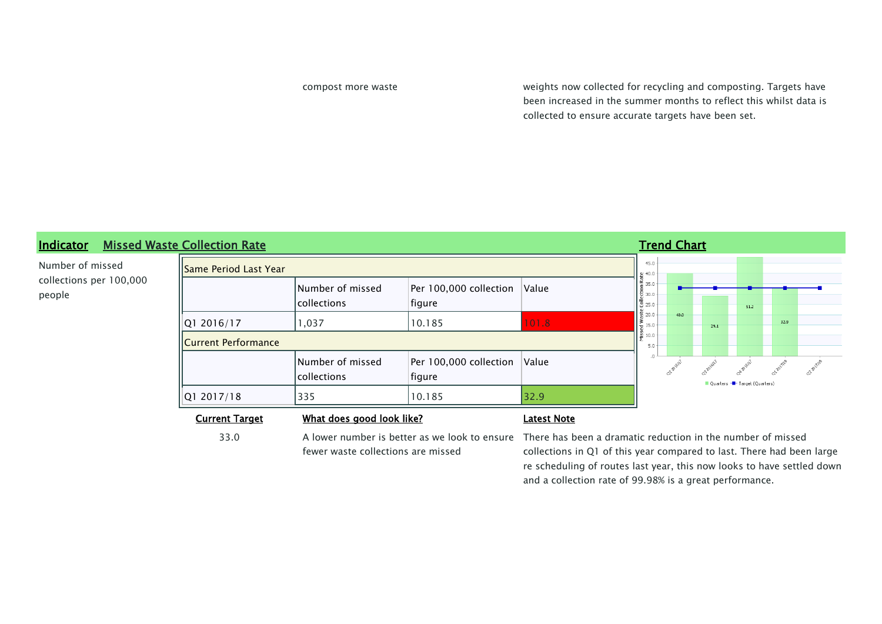compost more waste weights now collected for recycling and composting. Targets have been increased in the summer months to reflect this whilst data is collected to ensure accurate targets have been set.



fewer waste collections are missed

33.0 A lower number is better as we look to ensure There has been a dramatic reduction in the number of missed collections in Q1 of this year compared to last. There had been large re scheduling of routes last year, this now looks to have settled down and a collection rate of 99.98% is a great performance.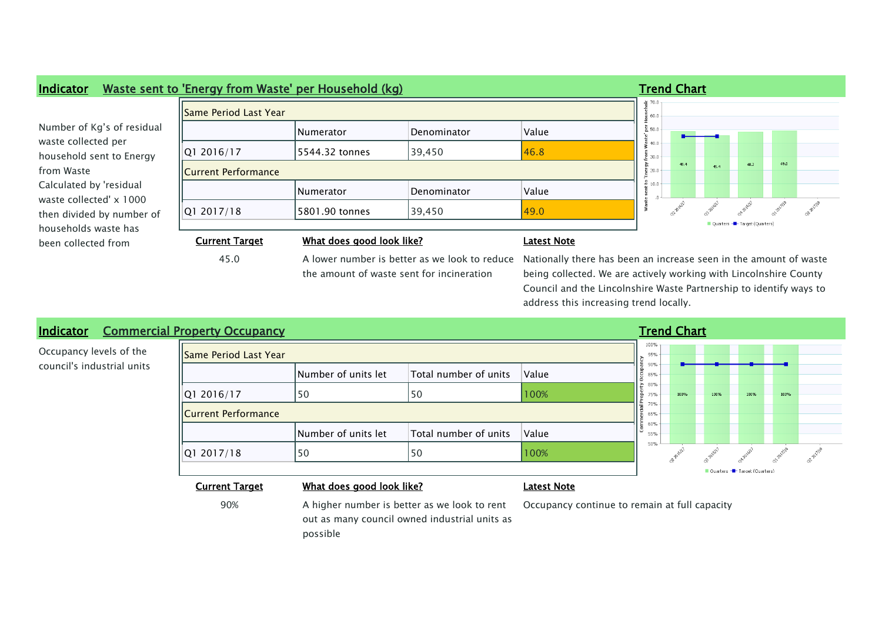

address this increasing trend locally. Indicator Commercial Property Occupancy Trend Chart Chart Chart Chart Chart Chart Chart Chart Chart Chart Chart 100% Occupancy levels of the Occupancy levels of the Same Period Last Year<br>council's industrial units  $95%$ 90% Number of units let  $\overline{\phantom{a}}$  Total number of units  $\overline{\phantom{a}}$  Value 85% 80% Q1 2016/17 50 50 100% 75% 100% 10090 70% Current Performance 65% 60% Number of units let  $\overline{\phantom{a}}$  Total number of units  $\overline{\phantom{a}}$  Value 55%  $50<sup>o</sup>$ oz-aille Q1 2017/18  $\begin{array}{|c|c|c|c|c|c|c|c|c|} \hline \text{Q1 2017/18} & & & \text{50} & & \text{100\%} \ \hline \end{array}$ **Cuarters** Target (Quarters) Current Target What does good look like?

90% A higher number is better as we look to rent out as many council owned industrial units as

possible

Occupancy continue to remain at full capacity

Council and the Lincolnshire Waste Partnership to identify ways to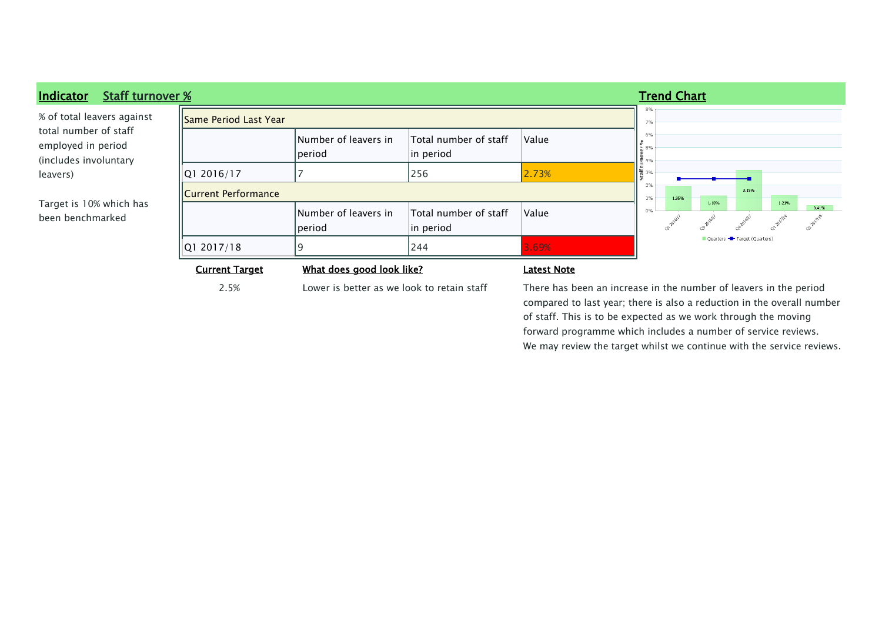

compared to last year; there is also a reduction in the overall number of staff. This is to be expected as we work through the moving forward programme which includes a number of service reviews. We may review the target whilst we continue with the service reviews.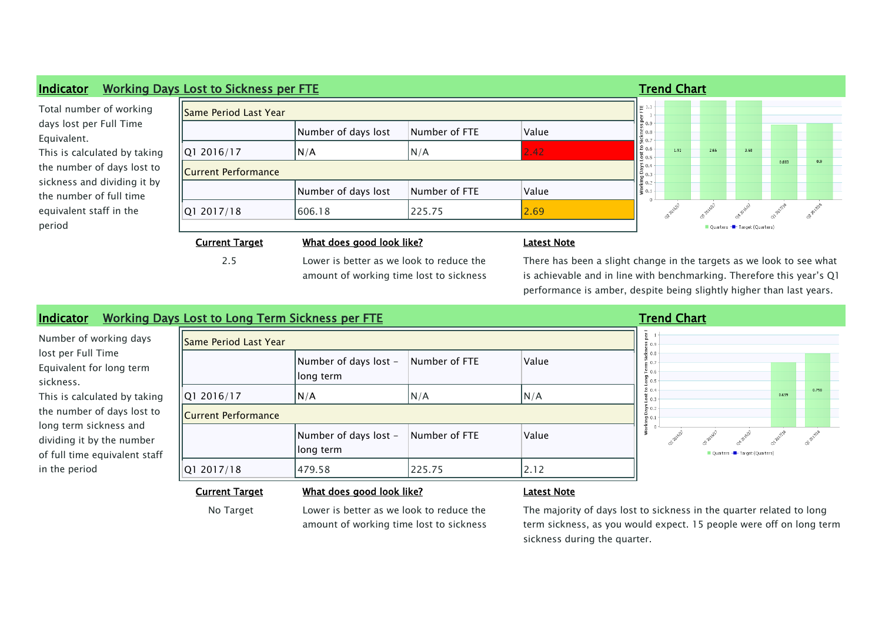

2.5 Lower is better as we look to reduce the amount of working time lost to sickness There has been a slight change in the targets as we look to see what is achievable and in line with benchmarking. Therefore this year's Q1 performance is amber, despite being slightly higher than last years.

| Indicator                                                                            | Working Days Lost to Long Term Sickness per FTE |                                    |               |       | <b>Trend Chart</b> |                              |       |          |
|--------------------------------------------------------------------------------------|-------------------------------------------------|------------------------------------|---------------|-------|--------------------|------------------------------|-------|----------|
| Number of working days                                                               | Same Period Last Year                           |                                    |               |       |                    |                              |       |          |
| lost per Full Time<br>Equivalent for long term<br>sickness.                          |                                                 | Number of days lost -<br>long term | Number of FTE | Value | . .                |                              |       |          |
| This is calculated by taking                                                         | Q1 2016/17                                      | N/A                                | N/A           | N/A   |                    |                              | 0.699 | $-0.798$ |
| the number of days lost to                                                           | Current Performance                             |                                    |               |       |                    |                              |       |          |
| long term sickness and<br>dividing it by the number<br>of full time equivalent staff |                                                 | Number of days lost -<br>long term | Number of FTE | Value |                    | Quarters - Target (Quarters) |       |          |
| in the period                                                                        | Q1 2017/18                                      | 479.58                             | 225.75        | 2.12  |                    |                              |       |          |

### Current Target What does good look like? Latest Note

No Target Lower is better as we look to reduce the amount of working time lost to sickness

The majority of days lost to sickness in the quarter related to long term sickness, as you would expect. 15 people were off on long term sickness during the quarter.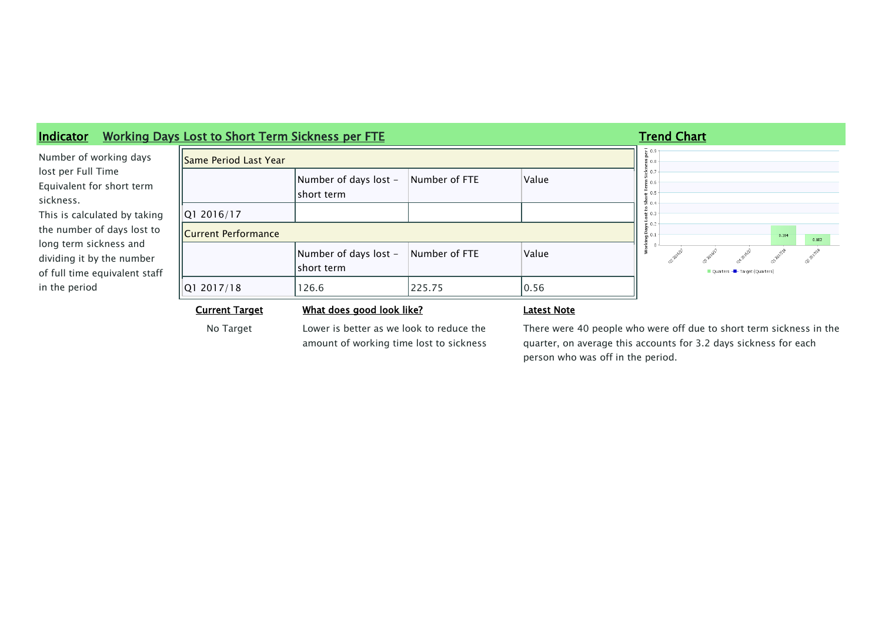

# Current Target What does good look like? Latest Note

No Target Lower is better as we look to reduce the amount of working time lost to sickness

There were 40 people who were off due to short term sickness in the quarter, on average this accounts for 3.2 days sickness for each person who was off in the period.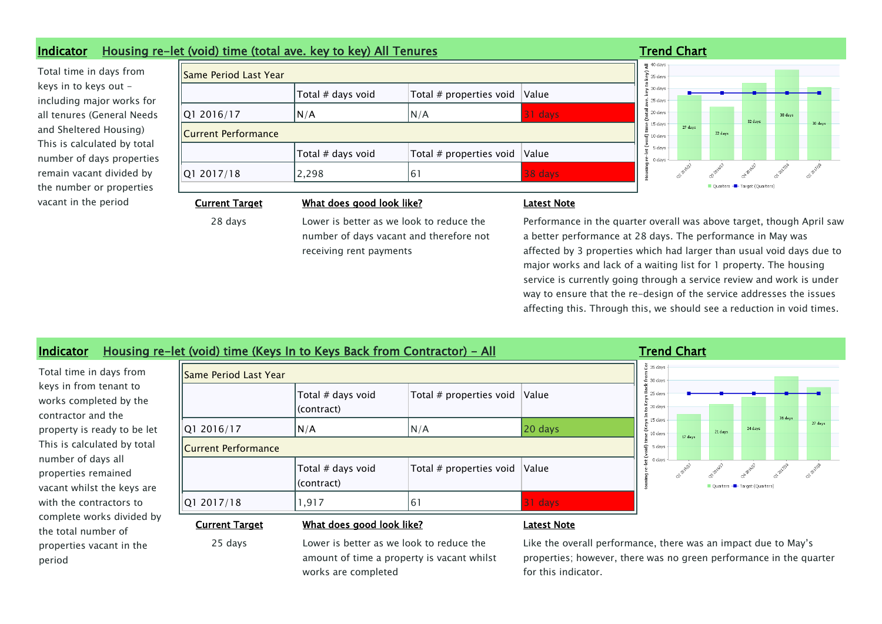## Indicator Housing re-let (void) time (total ave. key to key) All Tenures Trend Chart Trend Chart

Total time in days from keys in to keys out including major works for all tenures (General Needs and Sheltered Housing) This is calculated by total number of days properties remain vacant divided by the number or properties vacant in the period

| Same Period Last Year      |                   |                                       |         |  |  |  |  |  |
|----------------------------|-------------------|---------------------------------------|---------|--|--|--|--|--|
|                            | Total # days void | Total # properties void $\vert$ Value |         |  |  |  |  |  |
| Q1 2016/17                 | N/A               | N/A                                   | 31 days |  |  |  |  |  |
| <b>Current Performance</b> |                   |                                       |         |  |  |  |  |  |
|                            | Total # days void | Total # properties void               | Value   |  |  |  |  |  |
| Q1 2017/18                 | 2,298             | 61                                    | 38 days |  |  |  |  |  |
|                            |                   |                                       |         |  |  |  |  |  |



### Current Target What does good look like? Latest Note

28 days Lower is better as we look to reduce the number of days vacant and therefore not receiving rent payments

Performance in the quarter overall was above target, though April saw a better performance at 28 days. The performance in May was affected by 3 properties which had larger than usual void days due to major works and lack of a waiting list for 1 property. The housing service is currently going through a service review and work is under way to ensure that the re-design of the service addresses the issues affecting this. Through this, we should see a reduction in void times.

### Indicator Housing re-let (void) time (Keys In to Keys Back from Contractor) - All Trend Chart

Total time in days from keys in from tenant to works completed by the contractor and the property is ready to be let This is calculated by total number of days all properties remained vacant whilst the keys are with the contractors to complete works divided by the total number of properties vacant in the period

| <b>Same Period Last Year</b> |                                 |                         |         |
|------------------------------|---------------------------------|-------------------------|---------|
|                              | Total # days void<br>(contract) | Total # properties void | Value   |
| Q1 2016/17                   | N/A                             | N/A                     | 20 days |
| Current Performance          |                                 |                         |         |
|                              | Total # days void<br>(contract) | Total # properties void | Value   |
| Q1 2017/18                   | 1,917                           | 61                      | 31 days |

### $\overline{9}$  35 days  $\overline{\mathcal{Z}}$  30 days  $\frac{3}{6}$   $\frac{3}{25}$  days o Keys 20 day let (void) time (Keys In 31 days 15 day 27 days  $24 \text{ day}$ 21 days 10 dave 17 days 5 days n dav at aille Ouarter Target (Ouarters

### Current Target What does good look like? Latest Note

25 days Lower is better as we look to reduce the amount of time a property is vacant whilst works are completed

Like the overall performance, there was an impact due to May's properties; however, there was no green performance in the quarter for this indicator.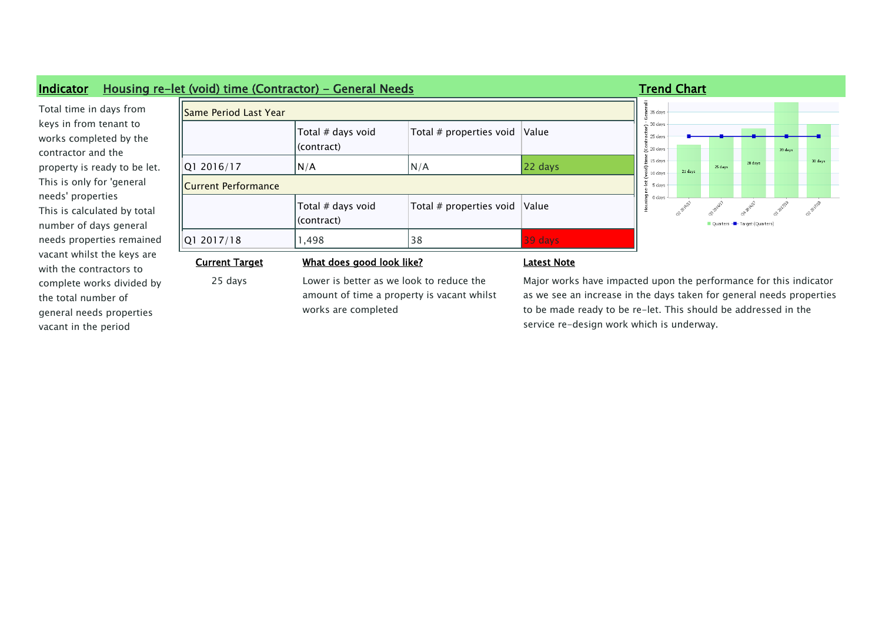

the total number of general needs properties vacant in the period

to be made ready to be re-let. This should be addressed in the service re-design work which is underway.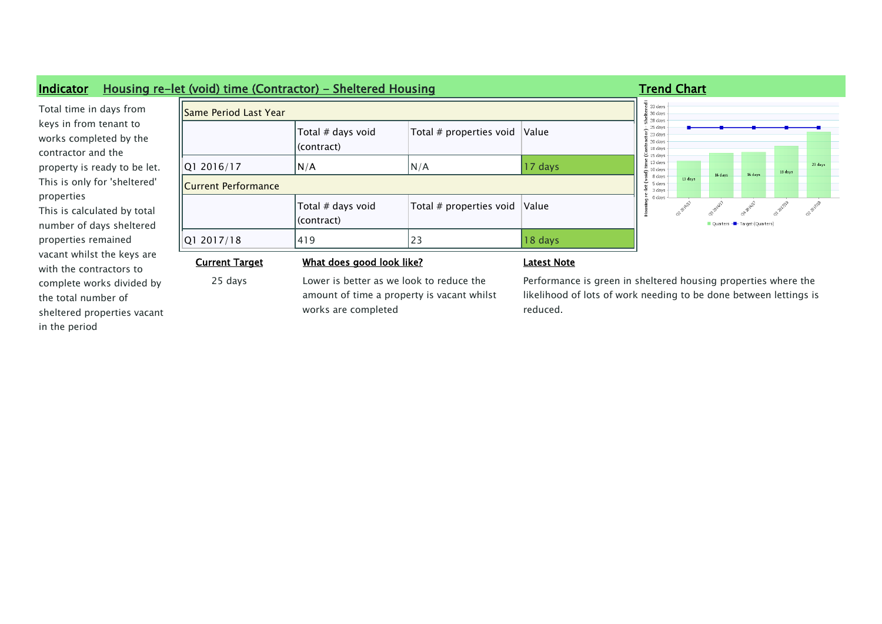

properties properties remained

the total number of sheltered properties vacant in the period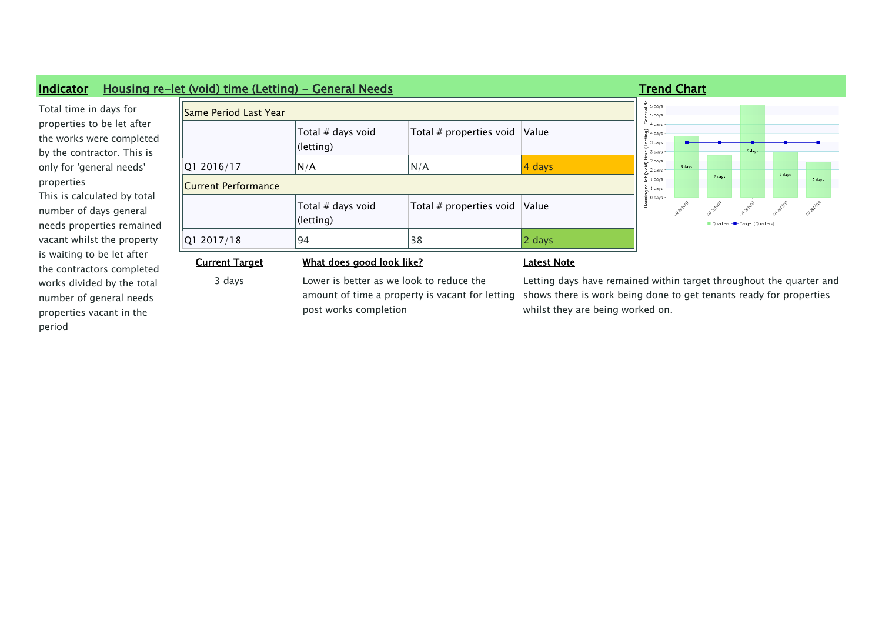

properties vacant in the period

post works completion

whilst they are being worked on.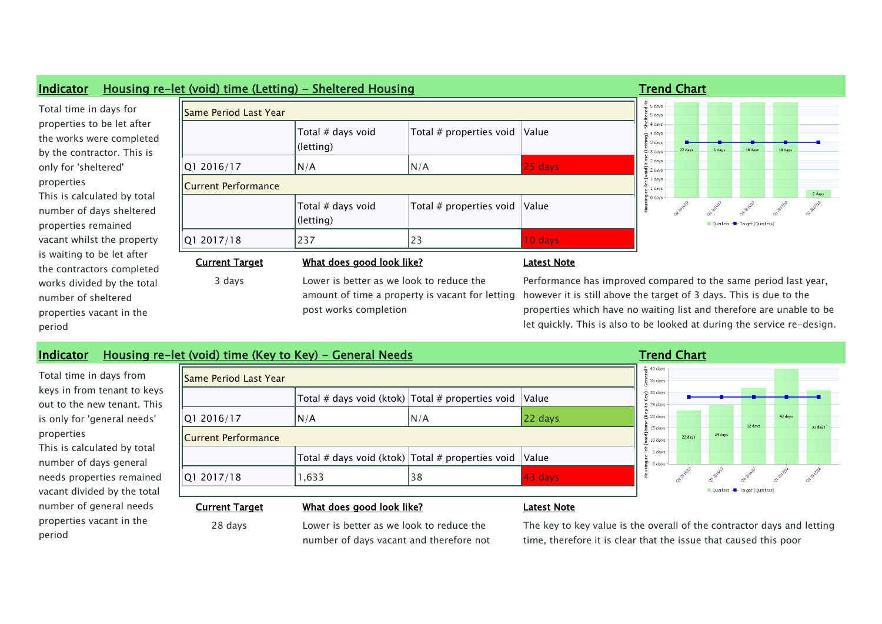

### Indicator Housing re-let (void) time (Key to Key) - General Needs Trend Chart Trend Chart

Total time in days from keys in from tenant to keys out to the new tenant. This is only for 'general needs' properties This is calculated by total

number of days general needs properties remained vacant divided by the total number of general needs properties vacant in the period

| llSame Period Last Year |                                                     |      |              | $\equiv$ 40 days<br>35 days                |         |         |                              |         |         |
|-------------------------|-----------------------------------------------------|------|--------------|--------------------------------------------|---------|---------|------------------------------|---------|---------|
|                         | Total # days void (ktok) $ Total #$ properties void |      | <b>Value</b> | <br>30 days<br>$25 \text{ days}$           |         |         |                              |         |         |
| Q1 2016/17              | N/A                                                 | IN/A | 22 days      | $\geq$ 20 days                             |         |         | 32 days                      | 43 days | 31 days |
| Current Performance     |                                                     |      |              | 15 days<br>Ξ<br>≘<br>$\frac{1}{2}$ 10 days | 22 days | 24 days |                              |         |         |
|                         | Total # days void (ktok) $ Total #$ properties void |      | <b>Value</b> | 5 days<br>0 days                           |         |         |                              |         |         |
| Q1 2017/18              | ,633                                                | 38   | 43 days      |                                            |         |         |                              |         |         |
|                         |                                                     |      |              |                                            |         |         | Quarters - Target (Quarters) |         |         |
| <b>Current Target</b>   | What does good look like?                           |      | Latest Note  |                                            |         |         |                              |         |         |



28 days Lower is better as we look to reduce the number of days vacant and therefore not The key to key value is the overall of the contractor days and letting time, therefore it is clear that the issue that caused this poor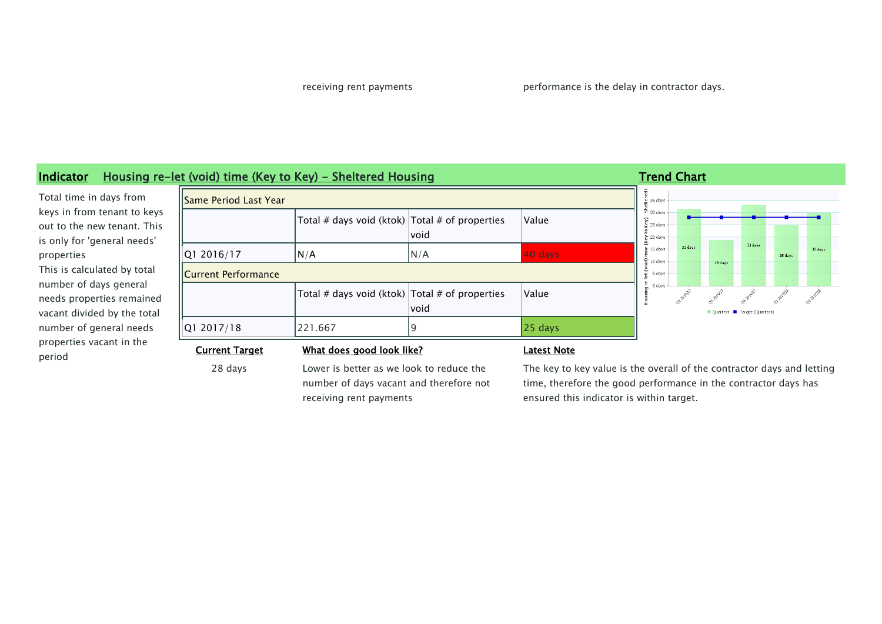receiving rent payments **performance** is the delay in contractor days.

### Total time in days from keys in from tenant to keys out to the new tenant. This is only for 'general needs' properties This is calculated by total number of days general needs properties remained vacant divided by the total number of general needs properties vacant in the

period

| Indicator                                                                                 | Housing re-let (void) time (Key to Key) - Sheltered Housing |                                                        |      |           | <b>Trend Chart</b>                                           |  |  |  |  |
|-------------------------------------------------------------------------------------------|-------------------------------------------------------------|--------------------------------------------------------|------|-----------|--------------------------------------------------------------|--|--|--|--|
| Total time in days from                                                                   | <b>Il Same Period Last Year</b>                             |                                                        |      |           | $\frac{1}{2}$ 35 days                                        |  |  |  |  |
| keys in from tenant to keys<br>out to the new tenant. This<br>is only for 'general needs' |                                                             | Total # days void (ktok) $\vert$ Total # of properties | void | Value     | $\frac{1}{20}$ 30 days<br>$\frac{6}{2}$ 25 days<br>중 20 days |  |  |  |  |
| properties                                                                                | Q1 2016/17                                                  | N/A                                                    | N/A  | 40 days   | 31 days<br>$\frac{9}{2}$ 15 days<br>$\widehat{2}$ 10 days    |  |  |  |  |
| This is calculated by total                                                               | <b>I</b> Current Performance                                |                                                        |      |           |                                                              |  |  |  |  |
| number of days general<br>needs properties remained<br>vacant divided by the total        |                                                             | Total # days void (ktok) $\vert$ Total # of properties | void | Value     | 0 days                                                       |  |  |  |  |
| number of general needs                                                                   | 01 2017/18                                                  | 221.667                                                |      | $25$ days |                                                              |  |  |  |  |



Current Target What does good look like? Latest Note

### 28 days Lower is better as we look to reduce the number of days vacant and therefore not receiving rent payments

The key to key value is the overall of the contractor days and letting time, therefore the good performance in the contractor days has ensured this indicator is within target.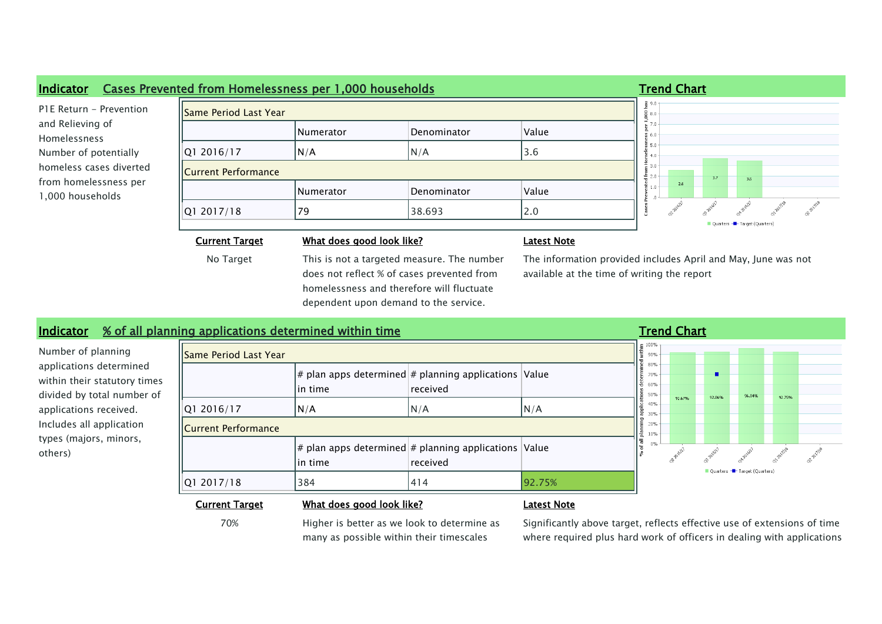| <b>Indicator</b>                          | Cases Prevented from Homelessness per 1,000 households |                                                                                                                                       |                                         |                    | <b>Trend Chart</b>                                                                                           |
|-------------------------------------------|--------------------------------------------------------|---------------------------------------------------------------------------------------------------------------------------------------|-----------------------------------------|--------------------|--------------------------------------------------------------------------------------------------------------|
| P1E Return - Prevention                   | llSame Period Last Year                                |                                                                                                                                       | 중 9.0<br>8.0                            |                    |                                                                                                              |
| and Relieving of<br>Homelessness          |                                                        | <b>Numerator</b>                                                                                                                      | Denominator                             | Value              | $\frac{1}{40}$ 7.0<br>%6.0                                                                                   |
| Number of potentially                     | Q1 2016/17                                             | N/A                                                                                                                                   | N/A                                     | 3.6                | <b>S</b> 5.0                                                                                                 |
| homeless cases diverted                   | Current Performance                                    |                                                                                                                                       | $\equiv$ 3.0<br>$z_{2,0}$<br>3.7<br>3.5 |                    |                                                                                                              |
| from homelessness per<br>1,000 households |                                                        | <b>Numerator</b>                                                                                                                      | Denominator                             | Value              | 2.6<br>$\frac{2}{5}$ 1.0                                                                                     |
|                                           | Q1 2017/18                                             | 79                                                                                                                                    | 38.693                                  | 2.0                | Quarters <b>-</b> Target (Quarters)                                                                          |
|                                           | <b>Current Target</b>                                  | What does good look like?                                                                                                             |                                         | <b>Latest Note</b> |                                                                                                              |
| No Target                                 |                                                        | This is not a targeted measure. The number<br>does not reflect % of cases prevented from<br>homelessness and therefore will fluctuate |                                         |                    | The information provided includes April and May, June was not<br>available at the time of writing the report |

## Indicator % of all planning applications determined within time Trend Chart Trend Chart

Number of planning applications determined within their statutory time divided by total number of applications received. Includes all application types (majors, minors, others)

|                            | <b>ISame Period Last Year</b>                                          |          |        |    |                          |        |        |                              |        |  |
|----------------------------|------------------------------------------------------------------------|----------|--------|----|--------------------------|--------|--------|------------------------------|--------|--|
|                            | $\#$ plan apps determined $\#$ planning applications Value<br> in time | received |        | -4 | 80%<br>70%<br>60%<br>50% |        | 92.86% | 96.04%                       | 92.75% |  |
| Q1 2016/17                 | N/A                                                                    | N/A      | N/A    |    | 40%<br>30%               | 91.67% |        |                              |        |  |
| <b>Current Performance</b> |                                                                        |          |        |    | 20%<br>10%               |        |        |                              |        |  |
|                            | $\#$ plan apps determined $\#$ planning applications Value<br> in time | received |        |    | $0\%$                    |        |        | Quarters - Target (Quarters) |        |  |
| Q1 2017/18                 | 384                                                                    | 1414     | 92.75% |    |                          |        |        |                              |        |  |

70% Higher is better as we look to determine as many as possible within their timescales

dependent upon demand to the service.

Current Target What does good look like? Latest Note

Significantly above target, reflects effective use of extensions of time where required plus hard work of officers in dealing with applications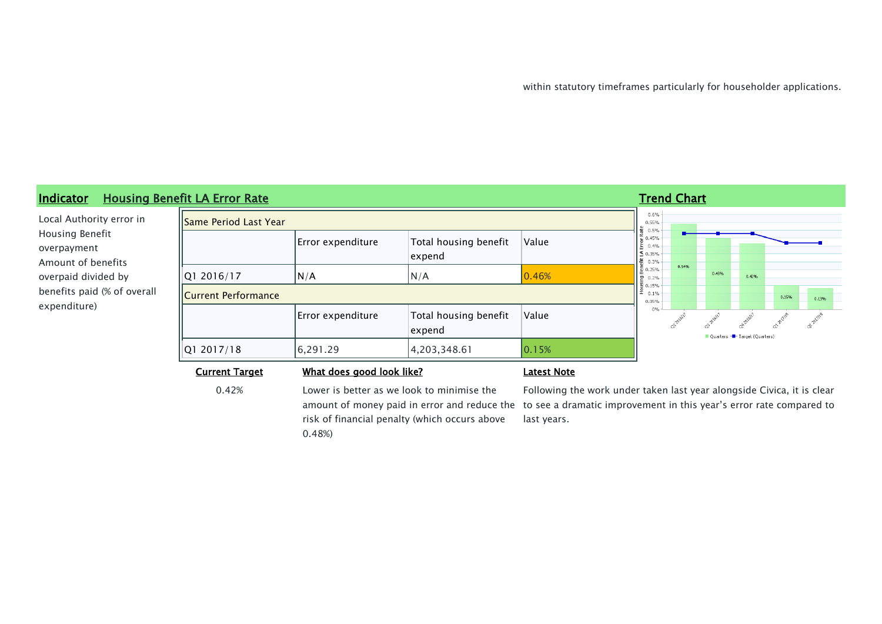within statutory timeframes particularly for householder applications.



0.42% Lower is better as we look to minimise the risk of financial penalty (which occurs above 0.48%)

amount of money paid in error and reduce the  $\,$  to see a dramatic improvement in this year's error rate compared to Following the work under taken last year alongside Civica, it is clear last years.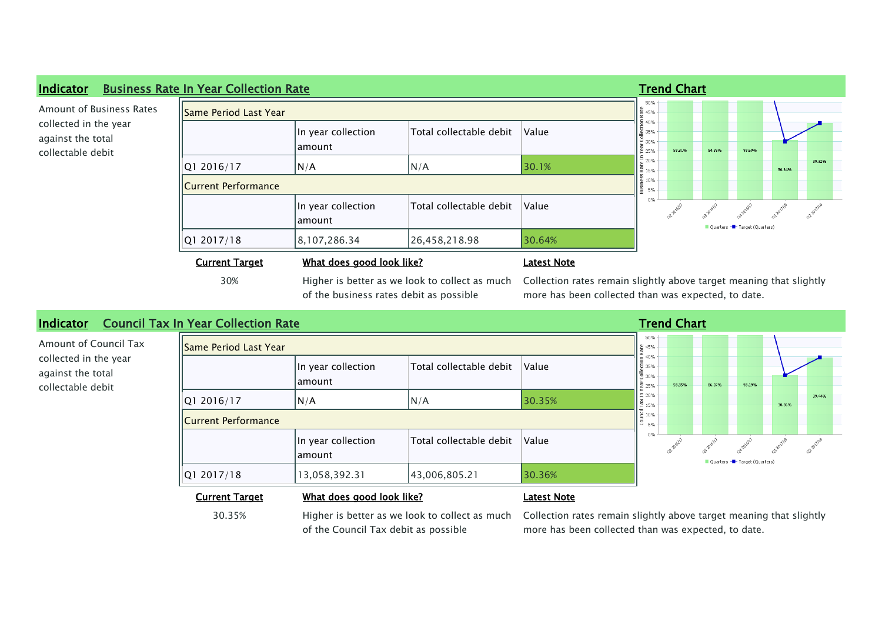

of the business rates debit as possible

Collection rates remain slightly above target meaning that slightly more has been collected than was expected, to date.



30.35% Higher is better as we look to collect as much of the Council Tax debit as possible

Collection rates remain slightly above target meaning that slightly more has been collected than was expected, to date.